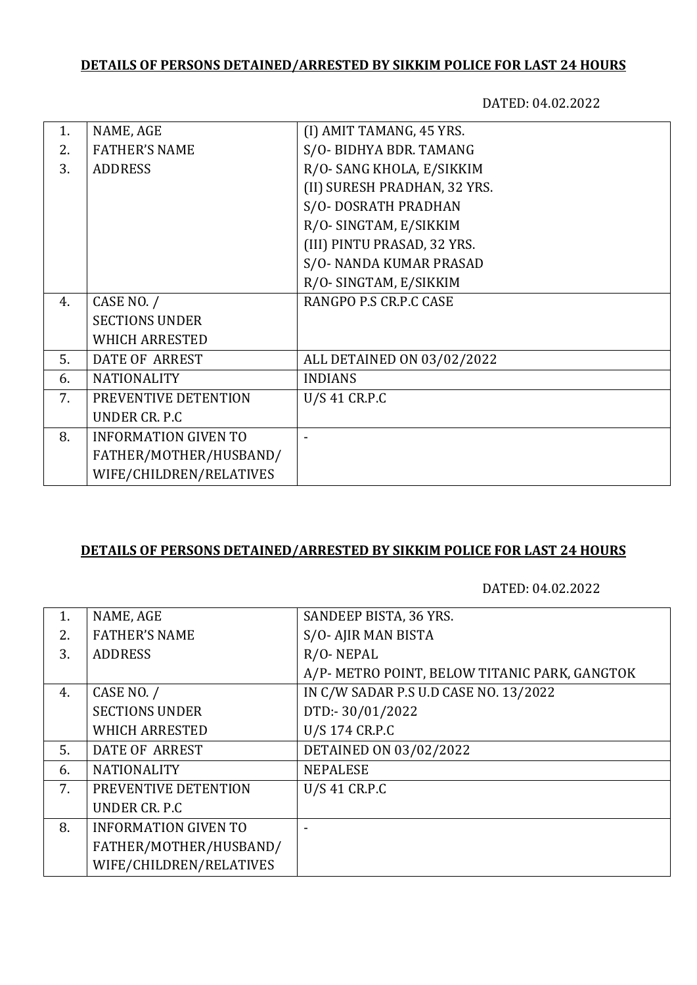# **DETAILS OF PERSONS DETAINED/ARRESTED BY SIKKIM POLICE FOR LAST 24 HOURS**

DATED: 04.02.2022

| 1. | NAME, AGE                   | (I) AMIT TAMANG, 45 YRS.     |
|----|-----------------------------|------------------------------|
| 2. | <b>FATHER'S NAME</b>        | S/O-BIDHYA BDR. TAMANG       |
| 3. | <b>ADDRESS</b>              | R/O-SANG KHOLA, E/SIKKIM     |
|    |                             | (II) SURESH PRADHAN, 32 YRS. |
|    |                             | S/O-DOSRATH PRADHAN          |
|    |                             | R/O-SINGTAM, E/SIKKIM        |
|    |                             | (III) PINTU PRASAD, 32 YRS.  |
|    |                             | S/O-NANDA KUMAR PRASAD       |
|    |                             | R/O-SINGTAM, E/SIKKIM        |
| 4. | CASE NO. /                  | RANGPO P.S CR.P.C CASE       |
|    | <b>SECTIONS UNDER</b>       |                              |
|    | <b>WHICH ARRESTED</b>       |                              |
| 5. | <b>DATE OF ARREST</b>       | ALL DETAINED ON 03/02/2022   |
| 6. | <b>NATIONALITY</b>          | <b>INDIANS</b>               |
| 7. | PREVENTIVE DETENTION        | U/S 41 CR.P.C                |
|    | UNDER CR. P.C.              |                              |
| 8. | <b>INFORMATION GIVEN TO</b> |                              |
|    | FATHER/MOTHER/HUSBAND/      |                              |
|    | WIFE/CHILDREN/RELATIVES     |                              |

### **DETAILS OF PERSONS DETAINED/ARRESTED BY SIKKIM POLICE FOR LAST 24 HOURS**

DATED: 04.02.2022

| NAME, AGE                   | SANDEEP BISTA, 36 YRS.                        |
|-----------------------------|-----------------------------------------------|
| <b>FATHER'S NAME</b>        | S/O-AJIR MAN BISTA                            |
| <b>ADDRESS</b>              | R/O-NEPAL                                     |
|                             | A/P- METRO POINT, BELOW TITANIC PARK, GANGTOK |
| CASE NO. /                  | IN C/W SADAR P.S U.D CASE NO. 13/2022         |
| <b>SECTIONS UNDER</b>       | DTD:-30/01/2022                               |
| <b>WHICH ARRESTED</b>       | U/S 174 CR.P.C                                |
| <b>DATE OF ARREST</b>       | DETAINED ON 03/02/2022                        |
| <b>NATIONALITY</b>          | <b>NEPALESE</b>                               |
| PREVENTIVE DETENTION        | $U/S$ 41 CR.P.C                               |
| UNDER CR. P.C.              |                                               |
| <b>INFORMATION GIVEN TO</b> |                                               |
| FATHER/MOTHER/HUSBAND/      |                                               |
| WIFE/CHILDREN/RELATIVES     |                                               |
|                             |                                               |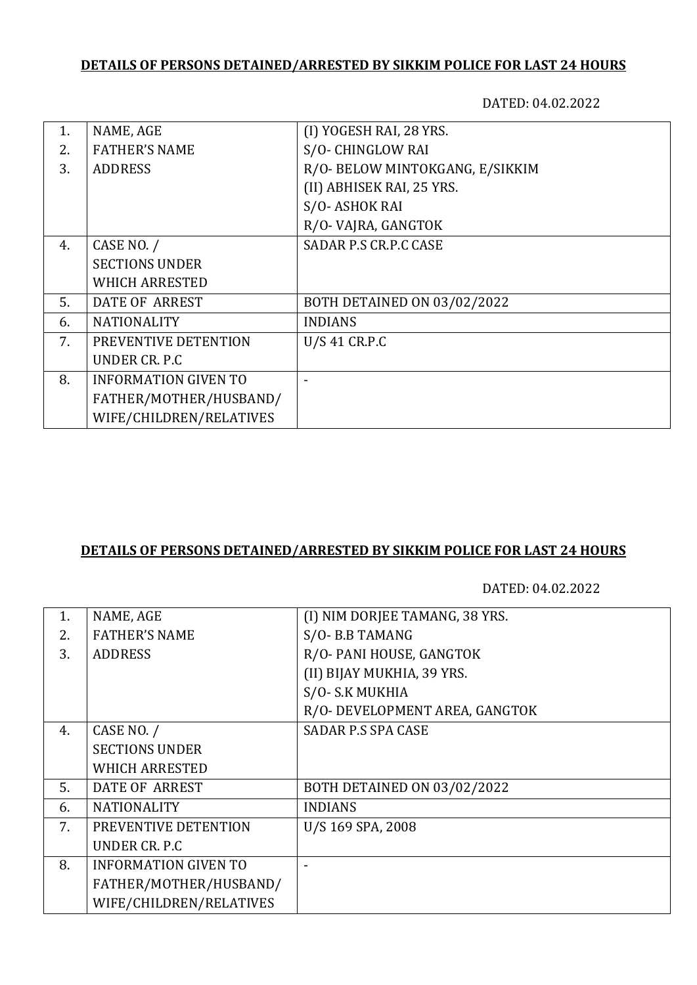# **DETAILS OF PERSONS DETAINED/ARRESTED BY SIKKIM POLICE FOR LAST 24 HOURS**

DATED: 04.02.2022

| 1. | NAME, AGE                   | (I) YOGESH RAI, 28 YRS.         |
|----|-----------------------------|---------------------------------|
| 2. | <b>FATHER'S NAME</b>        | S/O-CHINGLOW RAI                |
| 3. | <b>ADDRESS</b>              | R/O- BELOW MINTOKGANG, E/SIKKIM |
|    |                             | (II) ABHISEK RAI, 25 YRS.       |
|    |                             | S/O-ASHOK RAI                   |
|    |                             | R/O-VAJRA, GANGTOK              |
| 4. | CASE NO. /                  | SADAR P.S CR.P.C CASE           |
|    | <b>SECTIONS UNDER</b>       |                                 |
|    | <b>WHICH ARRESTED</b>       |                                 |
| 5. | DATE OF ARREST              | BOTH DETAINED ON 03/02/2022     |
| 6. | <b>NATIONALITY</b>          | <b>INDIANS</b>                  |
| 7. | PREVENTIVE DETENTION        | U/S 41 CR.P.C                   |
|    | UNDER CR. P.C.              |                                 |
| 8. | <b>INFORMATION GIVEN TO</b> |                                 |
|    | FATHER/MOTHER/HUSBAND/      |                                 |
|    | WIFE/CHILDREN/RELATIVES     |                                 |

### **DETAILS OF PERSONS DETAINED/ARRESTED BY SIKKIM POLICE FOR LAST 24 HOURS**

DATED: 04.02.2022

| 1. | NAME, AGE                   | (I) NIM DORJEE TAMANG, 38 YRS. |
|----|-----------------------------|--------------------------------|
| 2. | <b>FATHER'S NAME</b>        | S/O-B.B TAMANG                 |
| 3. | <b>ADDRESS</b>              | R/O- PANI HOUSE, GANGTOK       |
|    |                             | (II) BIJAY MUKHIA, 39 YRS.     |
|    |                             | S/O-S.K MUKHIA                 |
|    |                             | R/O- DEVELOPMENT AREA, GANGTOK |
| 4. | CASE NO. /                  | <b>SADAR P.S SPA CASE</b>      |
|    | <b>SECTIONS UNDER</b>       |                                |
|    | <b>WHICH ARRESTED</b>       |                                |
| 5. | <b>DATE OF ARREST</b>       | BOTH DETAINED ON 03/02/2022    |
| 6. | <b>NATIONALITY</b>          | <b>INDIANS</b>                 |
| 7. | PREVENTIVE DETENTION        | U/S 169 SPA, 2008              |
|    | UNDER CR. P.C.              |                                |
| 8. | <b>INFORMATION GIVEN TO</b> |                                |
|    | FATHER/MOTHER/HUSBAND/      |                                |
|    | WIFE/CHILDREN/RELATIVES     |                                |